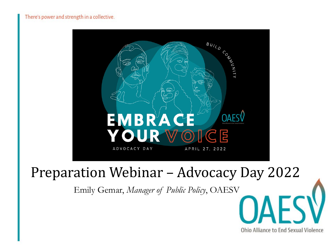

#### Preparation Webinar – Advocacy Day 2022

Ohio Alliance to End Sexual Violence

Emily Gemar, *Manager of Public Policy*, OAESV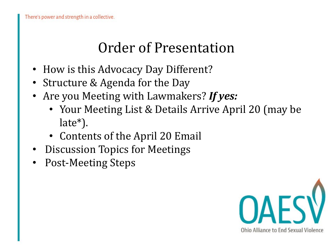### Order of Presentation

- How is this Advocacy Day Different?
- Structure & Agenda for the Day
- Are you Meeting with Lawmakers? *If yes:*
	- Your Meeting List & Details Arrive April 20 (may be late\*).
	- Contents of the April 20 Email
- Discussion Topics for Meetings
- Post-Meeting Steps

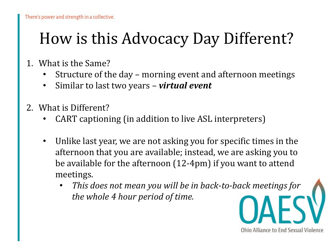## How is this Advocacy Day Different?

- 1. What is the Same?
	- Structure of the day morning event and afternoon meetings
	- Similar to last two years *virtual event*
- 2. What is Different?
	- CART captioning (in addition to live ASL interpreters)
	- Unlike last year, we are not asking you for specific times in the afternoon that you are available; instead, we are asking you to be available for the afternoon (12-4pm) if you want to attend meetings.
		- *This does not mean you will be in back-to-back meetings for the whole 4 hour period of time.*

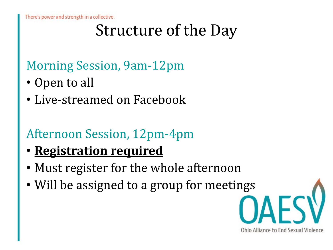There's power and strength in a collective.

# Structure of the Day

#### Morning Session, 9am-12pm

- Open to all
- Live-streamed on Facebook

#### Afternoon Session, 12pm-4pm

- **Registration required**
- Must register for the whole afternoon
- Will be assigned to a group for meetings

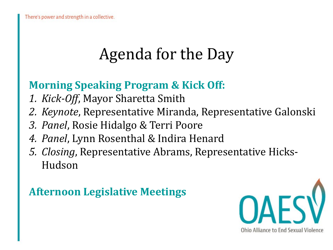# Agenda for the Day

#### **Morning Speaking Program & Kick Off:**

- *1. Kick-Off*, Mayor Sharetta Smith
- *2. Keynote*, Representative Miranda, Representative Galonski
- *3. Panel*, Rosie Hidalgo & Terri Poore
- *4. Panel*, Lynn Rosenthal & Indira Henard
- *5. Closing*, Representative Abrams, Representative Hicks-Hudson

#### **Afternoon Legislative Meetings**

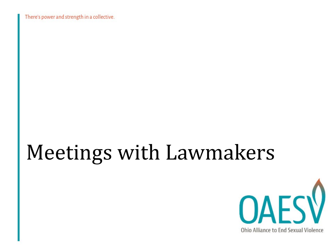There's power and strength in a collective.

# Meetings with Lawmakers

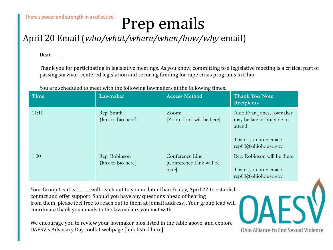# Prep emails

#### April 20 Email (*who/what/where/when/how/why* email)

Dear,

Thank you for participating in legislative meetings. As you know, committing to a legislative meeting is a critical part of passing survivor-centered legislation and securing funding for rape crisis programs in Ohio.

You are scheduled to meet with the following lawmakers at the following times.

| <b>Time</b> | Lawmaker                            | <b>Access Method</b>                                  | <b>Thank You Note</b><br><b>Recipients</b>                                                                        |
|-------------|-------------------------------------|-------------------------------------------------------|-------------------------------------------------------------------------------------------------------------------|
| 11:10       | Rep. Smith<br>{link to bio here}    | Zoom:<br>[Zoom Link will be here]                     | Aide Evan Jones, lawmaker<br>may be late or not able to<br>attend<br>Thank you note email:<br>rep00@ohiohouse.gov |
| 1:00        | Rep. Robinson<br>{link to bio here} | Conference Line:<br>[Conference Link will be<br>here] | Rep. Robinson will be there<br>Thank you note email:<br>$rep00@$ ohiohouse.gov                                    |

Your Group Lead is \_\_\_. \_\_will reach out to you no later than Friday, April 22 to establish contact and offer support. Should you have any questions ahead of hearing from them, please feel free to reach out to them at [email address]. Your group lead will coordinate thank you emails to the lawmakers you met with.

We encourage you to review your lawmaker bios listed in the table above, and explore OAESV's Advocacy Day toolkit webpage [link listed here].

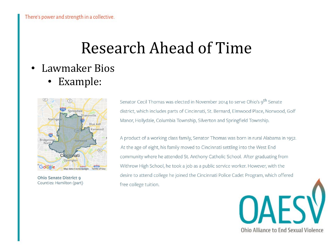## Research Ahead of Time

- Lawmaker Bios
	- Example:



**Ohio Senate District 9** Counties: Hamilton (part)

Senator Cecil Thomas was elected in November 2014 to serve Ohio's 9<sup>th</sup> Senate district, which includes parts of Cincinnati, St. Bernard, Elmwood Place, Norwood, Golf Manor, Hollydale, Columbia Township, Silverton and Springfield Township.

A product of a working class family, Senator Thomas was born in rural Alabama in 1952. At the age of eight, his family moved to Cincinnati settling into the West End community where he attended St. Anthony Catholic School. After graduating from Withrow High School, he took a job as a public service worker. However, with the desire to attend college he joined the Cincinnati Police Cadet Program, which offered free college tuition.

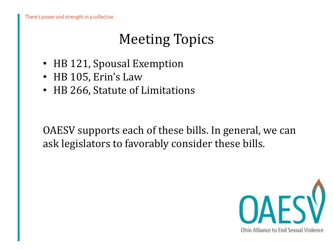## Meeting Topics

- HB 121, Spousal Exemption
- HB 105, Erin's Law
- HB 266, Statute of Limitations

OAESV supports each of these bills. In general, we can ask legislators to favorably consider these bills.

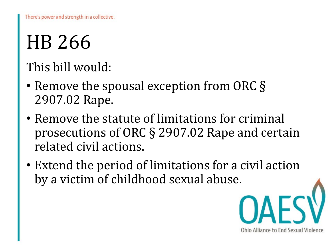# HB 266

#### This bill would:

- Remove the spousal exception from ORC § 2907.02 Rape.
- Remove the statute of limitations for criminal prosecutions of ORC § 2907.02 Rape and certain related civil actions.
- Extend the period of limitations for a civil action by a victim of childhood sexual abuse.

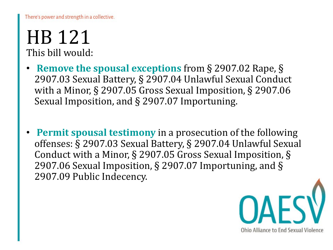There's power and strength in a collective.

#### HB 121 This bill would:

- **Remove the spousal exceptions** from § 2907.02 Rape, § 2907.03 Sexual Battery, § 2907.04 Unlawful Sexual Conduct with a Minor, § 2907.05 Gross Sexual Imposition, § 2907.06 Sexual Imposition, and § 2907.07 Importuning.
- **Permit spousal testimony** in a prosecution of the following offenses: § 2907.03 Sexual Battery, § 2907.04 Unlawful Sexual Conduct with a Minor, § 2907.05 Gross Sexual Imposition, § 2907.06 Sexual Imposition, § 2907.07 Importuning, and § 2907.09 Public Indecency.

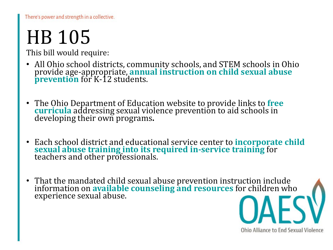# HB 105

This bill would require:

- All Ohio school districts, community schools, and STEM schools in Ohio provide age-appropriate, **annual instruction on child sexual abuse prevention** for K-12 students.
- The Ohio Department of Education website to provide links to **free curricula** addressing sexual violence prevention to aid schools in developing their own programs**.**
- Each school district and educational service center to **incorporate child sexual abuse training into its required in-service training** for teachers and other professionals.
- That the mandated child sexual abuse prevention instruction include information on **available counseling and resources** for children who experience sexual abuse.

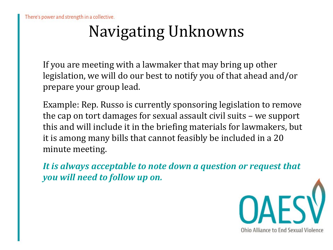# Navigating Unknowns

If you are meeting with a lawmaker that may bring up other legislation, we will do our best to notify you of that ahead and/or prepare your group lead.

Example: Rep. Russo is currently sponsoring legislation to remove the cap on tort damages for sexual assault civil suits – we support this and will include it in the briefing materials for lawmakers, but it is among many bills that cannot feasibly be included in a 20 minute meeting.

*It is always acceptable to note down a question or request that you will need to follow up on.* 

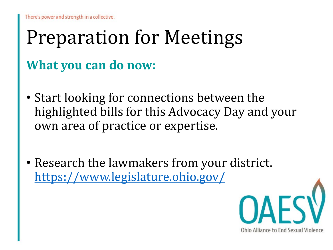# Preparation for Meetings **What you can do now:**

- Start looking for connections between the highlighted bills for this Advocacy Day and your own area of practice or expertise.
- Research the lawmakers from your district. <https://www.legislature.ohio.gov/>

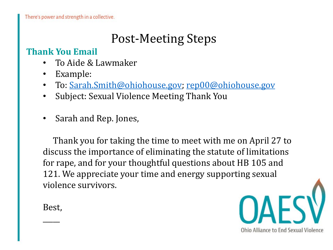#### Post-Meeting Steps

#### **Thank You Email**

- To Aide & Lawmaker
- Example:
- To: [Sarah.Smith@ohiohouse.gov](mailto:Sarah.Smith@ohiohouse.gov); [rep00@ohiohouse.gov](mailto:rep00@ohiohouse.gov)
- Subject: Sexual Violence Meeting Thank You
- Sarah and Rep. Jones,

Thank you for taking the time to meet with me on April 27 to discuss the importance of eliminating the statute of limitations for rape, and for your thoughtful questions about HB 105 and 121. We appreciate your time and energy supporting sexual violence survivors.

Best,

 $\overline{\phantom{a}}$ 

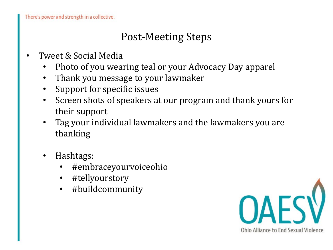#### Post-Meeting Steps

- Tweet & Social Media
	- Photo of you wearing teal or your Advocacy Day apparel
	- Thank you message to your lawmaker
	- Support for specific issues
	- Screen shots of speakers at our program and thank yours for their support
	- Tag your individual lawmakers and the lawmakers you are thanking
	- Hashtags:
		- #embraceyourvoiceohio
		- #tellyourstory
		- #buildcommunity

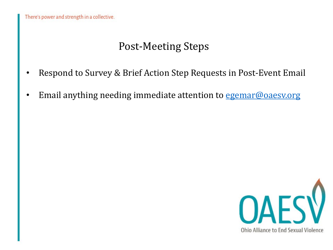#### Post-Meeting Steps

- Respond to Survey & Brief Action Step Requests in Post-Event Email
- Email anything needing immediate attention to [egemar@oaesv.org](mailto:egemar@oaesv.org)